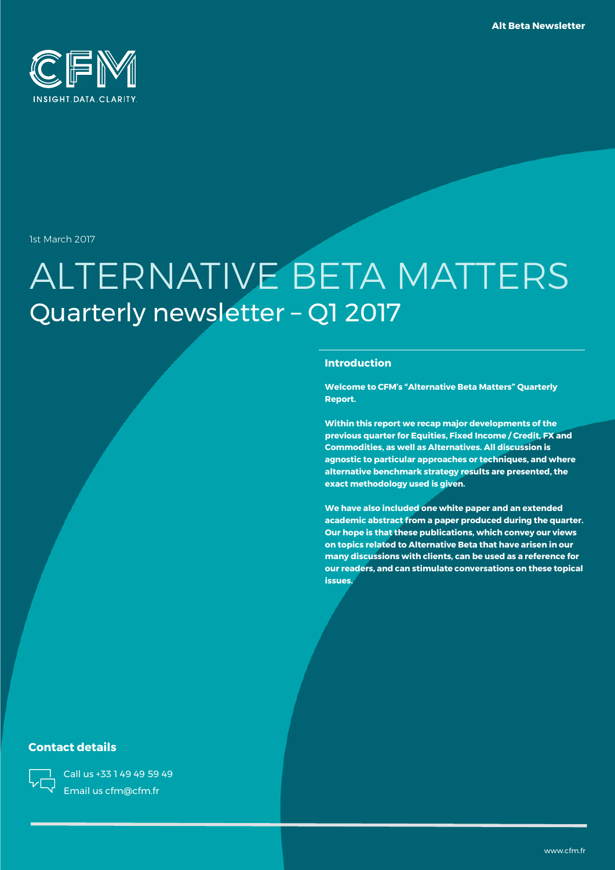

1st March 2017

# ALTERNATIVE BETA MATTERS Quarterly newsletter – Q1 2017

### **Introduction**

**Welcome to CFM's "Alternative Beta Matters" Quarterly Report.**

**Within this report we recap major developments of the previous quarter for Equities, Fixed Income / Credit, FX and Commodities, as well as Alternatives. All discussion is agnostic to particular approaches or techniques, and where alternative benchmark strategy results are presented, the exact methodology used is given.**

**We have also included one white paper and an extended academic abstract from a paper produced during the quarter. Our hope is that these publications, which convey our views on topics related to Alternative Beta that have arisen in our many discussions with clients, can be used as a reference for our readers, and can stimulate conversations on these topical issues.**

### **Contact details**

Call us +33 1 49 49 59 49 Email us cfm@cfm.fr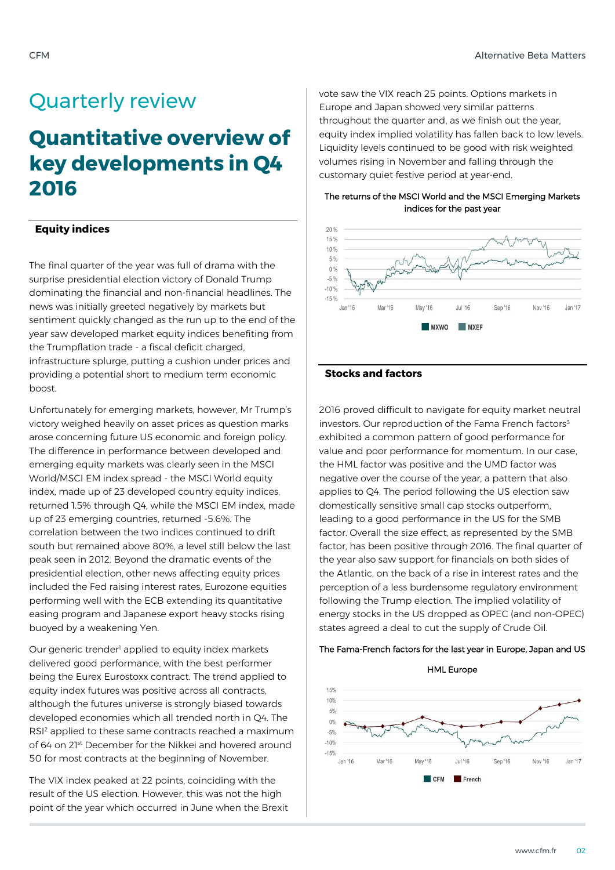# Quarterly review

# **Quantitative overview of key developments in Q4 2016**

### **Equity indices**

The final quarter of the year was full of drama with the surprise presidential election victory of Donald Trump dominating the financial and non-financial headlines. The news was initially greeted negatively by markets but sentiment quickly changed as the run up to the end of the year saw developed market equity indices benefiting from the Trumpflation trade - a fiscal deficit charged, infrastructure splurge, putting a cushion under prices and providing a potential short to medium term economic boost.

Unfortunately for emerging markets, however, Mr Trump's victory weighed heavily on asset prices as question marks arose concerning future US economic and foreign policy. The difference in performance between developed and emerging equity markets was clearly seen in the MSCI World/MSCI EM index spread - the MSCI World equity index, made up of 23 developed country equity indices, returned 1.5% through Q4, while the MSCI EM index, made up of 23 emerging countries, returned -5.6%. The correlation between the two indices continued to drift south but remained above 80%, a level still below the last peak seen in 2012. Beyond the dramatic events of the presidential election, other news affecting equity prices included the Fed raising interest rates, Eurozone equities performing well with the ECB extending its quantitative easing program and Japanese export heavy stocks rising buoyed by a weakening Yen.

Our generic trender<sup>1</sup> applied to equity index markets delivered good performance, with the best performer being the Eurex Eurostoxx contract. The trend applied to equity index futures was positive across all contracts, although the futures universe is strongly biased towards developed economies which all trended north in Q4. The RSI<sup>2</sup> applied to these same contracts reached a maximum of 64 on 21st December for the Nikkei and hovered around 50 for most contracts at the beginning of November.

The VIX index peaked at 22 points, coinciding with the result of the US election. However, this was not the high point of the year which occurred in June when the Brexit vote saw the VIX reach 25 points. Options markets in Europe and Japan showed very similar patterns throughout the quarter and, as we finish out the year, equity index implied volatility has fallen back to low levels. Liquidity levels continued to be good with risk weighted volumes rising in November and falling through the customary quiet festive period at year-end.

The returns of the MSCI World and the MSCI Emerging Markets indices for the past year



### **Stocks and factors**

2016 proved difficult to navigate for equity market neutral investors. Our reproduction of the Fama French factors $3$ exhibited a common pattern of good performance for value and poor performance for momentum. In our case, the HML factor was positive and the UMD factor was negative over the course of the year, a pattern that also applies to Q4. The period following the US election saw domestically sensitive small cap stocks outperform, leading to a good performance in the US for the SMB factor. Overall the size effect, as represented by the SMB factor, has been positive through 2016. The final quarter of the year also saw support for financials on both sides of the Atlantic, on the back of a rise in interest rates and the perception of a less burdensome regulatory environment following the Trump election. The implied volatility of energy stocks in the US dropped as OPEC (and non-OPEC) states agreed a deal to cut the supply of Crude Oil.

### The Fama-French factors for the last year in Europe, Japan and US

HML Europe

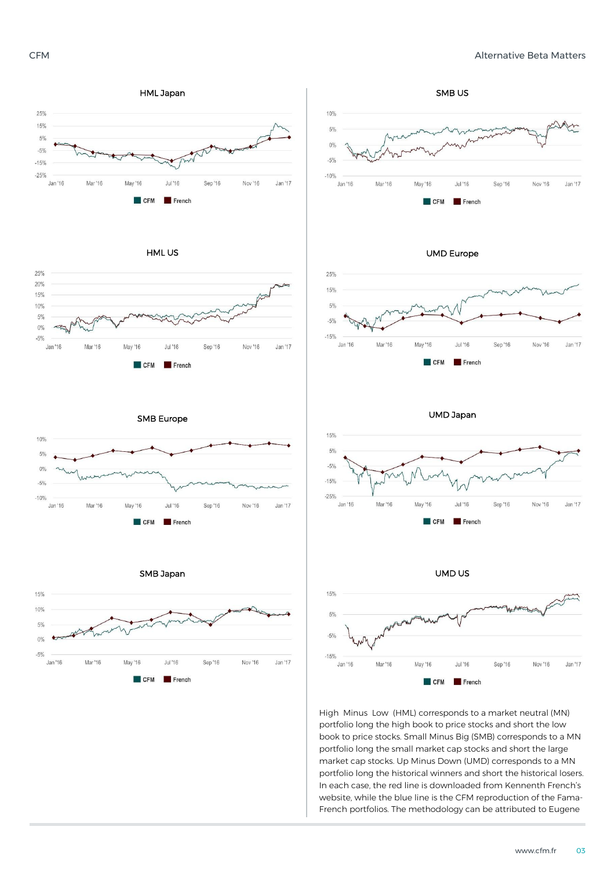

HML US



SMB US 10%  $5%$  $0%$  $-5%$  $-10%$ Jan '16 Mar '16 May '16 **Jul '16** Sep '16 Nov '16 Jan '17  $TCFM$ French





UMD Japan



UMD US



High Minus Low (HML) corresponds to a market neutral (MN) portfolio long the high book to price stocks and short the low book to price stocks. Small Minus Big (SMB) corresponds to a MN portfolio long the small market cap stocks and short the large market cap stocks. Up Minus Down (UMD) corresponds to a MN portfolio long the historical winners and short the historical losers. In each case, the red line is downloaded from Kennenth French's website, while the blue line is the CFM reproduction of the Fama-French portfolios. The methodology can be attributed to Eugene





SMB Japan

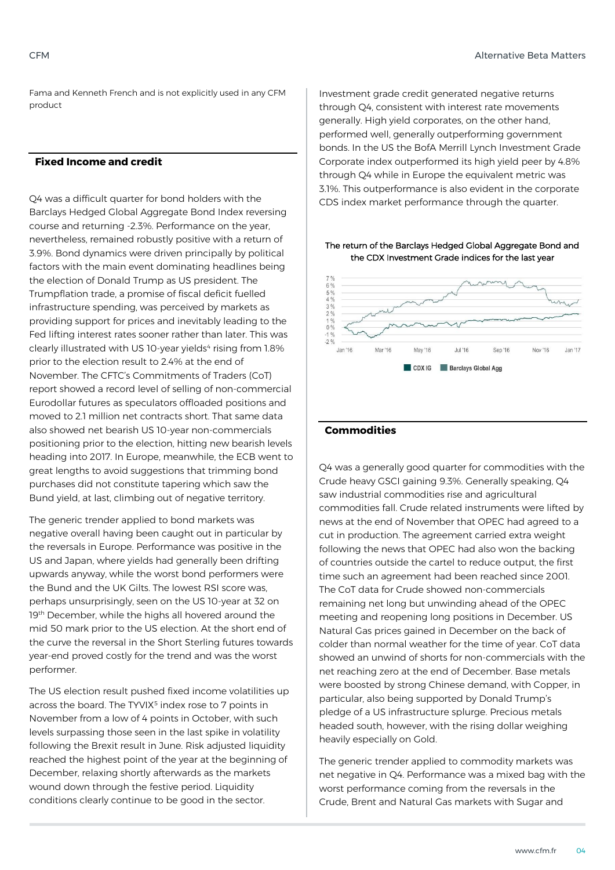Fama and Kenneth French and is not explicitly used in any CFM product

### **Fixed Income and credit**

Q4 was a difficult quarter for bond holders with the Barclays Hedged Global Aggregate Bond Index reversing course and returning -2.3%. Performance on the year, nevertheless, remained robustly positive with a return of 3.9%. Bond dynamics were driven principally by political factors with the main event dominating headlines being the election of Donald Trump as US president. The Trumpflation trade, a promise of fiscal deficit fuelled infrastructure spending, was perceived by markets as providing support for prices and inevitably leading to the Fed lifting interest rates sooner rather than later. This was clearly illustrated with US 10-year yields<sup>4</sup> rising from 1.8% prior to the election result to 2.4% at the end of November. The CFTC's Commitments of Traders (CoT) report showed a record level of selling of non-commercial Eurodollar futures as speculators offloaded positions and moved to 2.1 million net contracts short. That same data also showed net bearish US 10-year non-commercials positioning prior to the election, hitting new bearish levels heading into 2017. In Europe, meanwhile, the ECB went to great lengths to avoid suggestions that trimming bond purchases did not constitute tapering which saw the Bund yield, at last, climbing out of negative territory.

The generic trender applied to bond markets was negative overall having been caught out in particular by the reversals in Europe. Performance was positive in the US and Japan, where yields had generally been drifting upwards anyway, while the worst bond performers were the Bund and the UK Gilts. The lowest RSI score was, perhaps unsurprisingly, seen on the US 10-year at 32 on 19<sup>th</sup> December, while the highs all hovered around the mid 50 mark prior to the US election. At the short end of the curve the reversal in the Short Sterling futures towards year-end proved costly for the trend and was the worst performer.

The US election result pushed fixed income volatilities up across the board. The TYVIX<sup>5</sup> index rose to 7 points in November from a low of 4 points in October, with such levels surpassing those seen in the last spike in volatility following the Brexit result in June. Risk adjusted liquidity reached the highest point of the year at the beginning of December, relaxing shortly afterwards as the markets wound down through the festive period. Liquidity conditions clearly continue to be good in the sector.

Investment grade credit generated negative returns through Q4, consistent with interest rate movements generally. High yield corporates, on the other hand, performed well, generally outperforming government bonds. In the US the BofA Merrill Lynch Investment Grade Corporate index outperformed its high yield peer by 4.8% through Q4 while in Europe the equivalent metric was 3.1%. This outperformance is also evident in the corporate CDS index market performance through the quarter.

### The return of the Barclays Hedged Global Aggregate Bond and the CDX Investment Grade indices for the last year



### **Commodities**

Q4 was a generally good quarter for commodities with the Crude heavy GSCI gaining 9.3%. Generally speaking, Q4 saw industrial commodities rise and agricultural commodities fall. Crude related instruments were lifted by news at the end of November that OPEC had agreed to a cut in production. The agreement carried extra weight following the news that OPEC had also won the backing of countries outside the cartel to reduce output, the first time such an agreement had been reached since 2001. The CoT data for Crude showed non-commercials remaining net long but unwinding ahead of the OPEC meeting and reopening long positions in December. US Natural Gas prices gained in December on the back of colder than normal weather for the time of year. CoT data showed an unwind of shorts for non-commercials with the net reaching zero at the end of December. Base metals were boosted by strong Chinese demand, with Copper, in particular, also being supported by Donald Trump's pledge of a US infrastructure splurge. Precious metals headed south, however, with the rising dollar weighing heavily especially on Gold.

The generic trender applied to commodity markets was net negative in Q4. Performance was a mixed bag with the worst performance coming from the reversals in the Crude, Brent and Natural Gas markets with Sugar and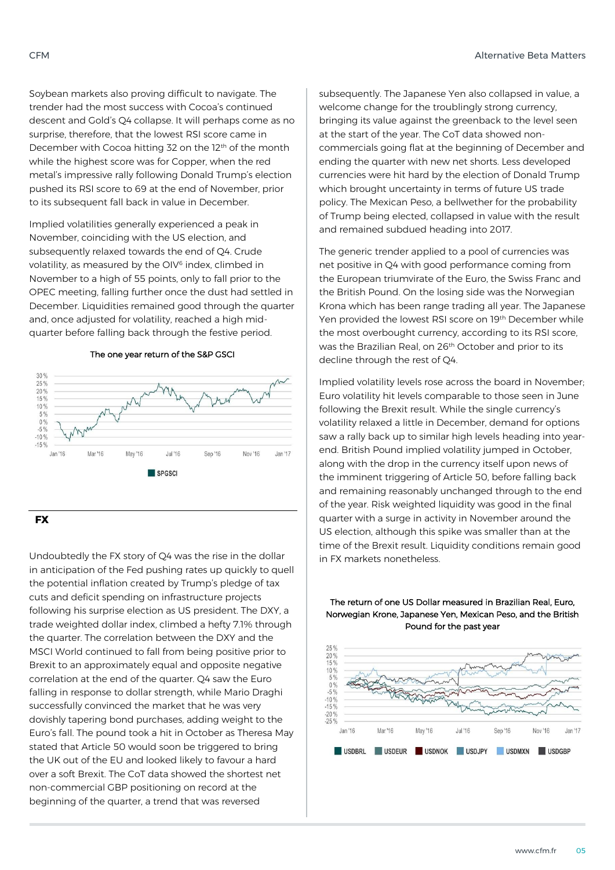Soybean markets also proving difficult to navigate. The trender had the most success with Cocoa's continued descent and Gold's Q4 collapse. It will perhaps come as no surprise, therefore, that the lowest RSI score came in December with Cocoa hitting 32 on the 12th of the month while the highest score was for Copper, when the red metal's impressive rally following Donald Trump's election pushed its RSI score to 69 at the end of November, prior to its subsequent fall back in value in December.

Implied volatilities generally experienced a peak in November, coinciding with the US election, and subsequently relaxed towards the end of Q4. Crude volatility, as measured by the OIV<sup>6</sup> index, climbed in November to a high of 55 points, only to fall prior to the OPEC meeting, falling further once the dust had settled in December. Liquidities remained good through the quarter and, once adjusted for volatility, reached a high midquarter before falling back through the festive period.



#### The one year return of the S&P GSCI

### **FX**

Undoubtedly the FX story of Q4 was the rise in the dollar in anticipation of the Fed pushing rates up quickly to quell the potential inflation created by Trump's pledge of tax cuts and deficit spending on infrastructure projects following his surprise election as US president. The DXY, a trade weighted dollar index, climbed a hefty 7.1% through the quarter. The correlation between the DXY and the MSCI World continued to fall from being positive prior to Brexit to an approximately equal and opposite negative correlation at the end of the quarter. Q4 saw the Euro falling in response to dollar strength, while Mario Draghi successfully convinced the market that he was very dovishly tapering bond purchases, adding weight to the Euro's fall. The pound took a hit in October as Theresa May stated that Article 50 would soon be triggered to bring the UK out of the EU and looked likely to favour a hard over a soft Brexit. The CoT data showed the shortest net non-commercial GBP positioning on record at the beginning of the quarter, a trend that was reversed

subsequently. The Japanese Yen also collapsed in value, a welcome change for the troublingly strong currency, bringing its value against the greenback to the level seen at the start of the year. The CoT data showed noncommercials going flat at the beginning of December and ending the quarter with new net shorts. Less developed currencies were hit hard by the election of Donald Trump which brought uncertainty in terms of future US trade policy. The Mexican Peso, a bellwether for the probability of Trump being elected, collapsed in value with the result and remained subdued heading into 2017.

The generic trender applied to a pool of currencies was net positive in Q4 with good performance coming from the European triumvirate of the Euro, the Swiss Franc and the British Pound. On the losing side was the Norwegian Krona which has been range trading all year. The Japanese Yen provided the lowest RSI score on 19<sup>th</sup> December while the most overbought currency, according to its RSI score, was the Brazilian Real, on 26th October and prior to its decline through the rest of Q4.

Implied volatility levels rose across the board in November; Euro volatility hit levels comparable to those seen in June following the Brexit result. While the single currency's volatility relaxed a little in December, demand for options saw a rally back up to similar high levels heading into yearend. British Pound implied volatility jumped in October, along with the drop in the currency itself upon news of the imminent triggering of Article 50, before falling back and remaining reasonably unchanged through to the end of the year. Risk weighted liquidity was good in the final quarter with a surge in activity in November around the US election, although this spike was smaller than at the time of the Brexit result. Liquidity conditions remain good in FX markets nonetheless.



### The return of one US Dollar measured in Brazilian Real, Euro, Norwegian Krone, Japanese Yen, Mexican Peso, and the British Pound for the past year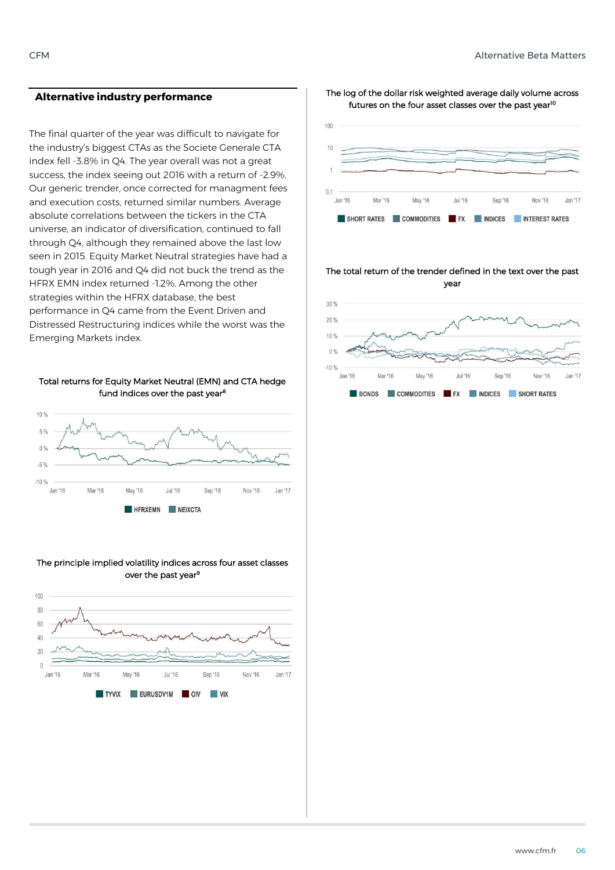### **Alternative industry performance**

The final quarter of the year was difficult to navigate for the industry's biggest CTAs as the Societe Generale CTA index fell -3.8% in Q4. The year overall was not a great success, the index seeing out 2016 with a return of -2.9%. Our generic trender, once corrected for managment fees and execution costs, returned similar numbers. Average absolute correlations between the tickers in the CTA universe, an indicator of diversification, continued to fall through Q4, although they remained above the last low seen in 2015. Equity Market Neutral strategies have had a tough year in 2016 and Q4 did not buck the trend as the HFRX EMN index returned -1.2%. Among the other strategies within the HFRX database, the best performance in Q4 came from the Event Driven and Distressed Restructuring indices while the worst was the Emerging Markets index.





### The principle implied volatility indices across four asset classes over the past year<sup>9</sup>



The log of the dollar risk weighted average daily volume across futures on the four asset classes over the past year<sup>10</sup>



#### The total return of the trender defined in the text over the past year

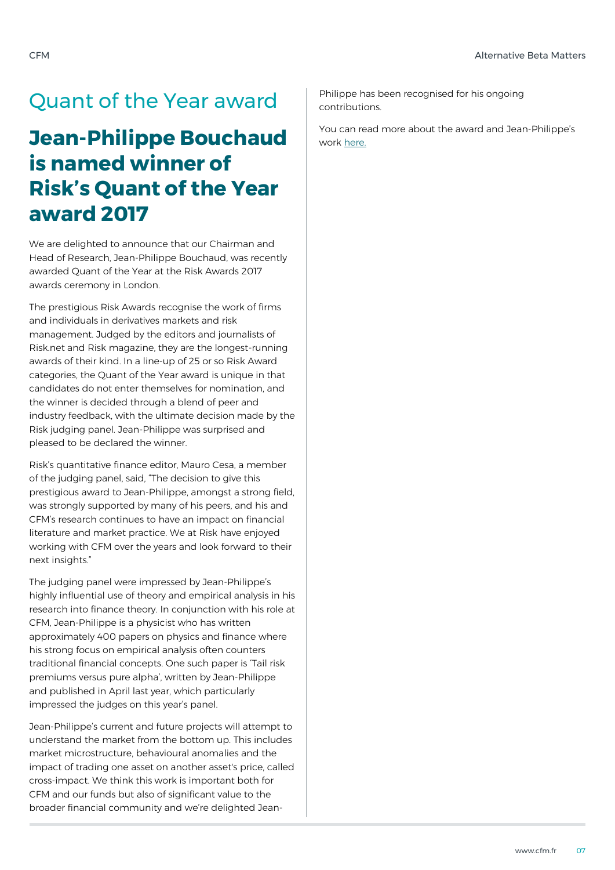# Quant of the Year award

# **Jean-Philippe Bouchaud is named winner of Risk's Quant of the Year award 2017**

We are delighted to announce that our Chairman and Head of Research, Jean-Philippe Bouchaud, was recently awarded Quant of the Year at the Risk Awards 2017 awards ceremony in London.

The prestigious Risk Awards recognise the work of firms and individuals in derivatives markets and risk management. Judged by the editors and journalists of Risk.net and Risk magazine, they are the longest-running awards of their kind. In a line-up of 25 or so Risk Award categories, the Quant of the Year award is unique in that candidates do not enter themselves for nomination, and the winner is decided through a blend of peer and industry feedback, with the ultimate decision made by the Risk judging panel. Jean-Philippe was surprised and pleased to be declared the winner.

Risk's quantitative finance editor, Mauro Cesa, a member of the judging panel, said, "The decision to give this prestigious award to Jean-Philippe, amongst a strong field, was strongly supported by many of his peers, and his and CFM's research continues to have an impact on financial literature and market practice. We at Risk have enjoyed working with CFM over the years and look forward to their next insights."

The judging panel were impressed by Jean-Philippe's highly influential use of theory and empirical analysis in his research into finance theory. In conjunction with his role at CFM, Jean-Philippe is a physicist who has written approximately 400 papers on physics and finance where his strong focus on empirical analysis often counters traditional financial concepts. One such paper is 'Tail risk premiums versus pure alpha', written by Jean-Philippe and published in April last year, which particularly impressed the judges on this year's panel.

Jean-Philippe's current and future projects will attempt to understand the market from the bottom up. This includes market microstructure, behavioural anomalies and the impact of trading one asset on another asset's price, called cross-impact. We think this work is important both for CFM and our funds but also of significant value to the broader financial community and we're delighted Jean-

Philippe has been recognised for his ongoing contributions.

You can read more about the award and Jean-Philippe's work [here.](http://www.risk.net/risk-magazine/analysis/2479713/quant-of-the-year-jean-philippe-bouchaud)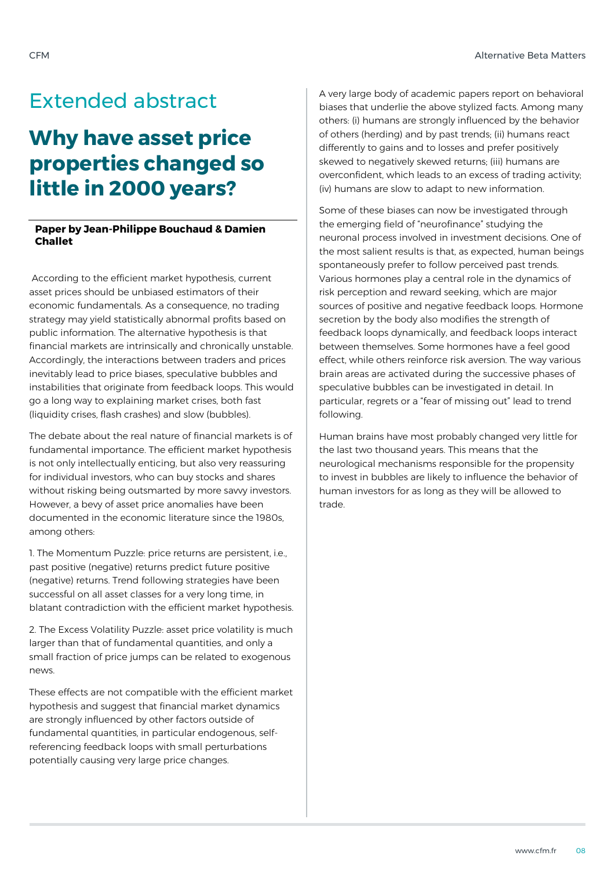## Extended abstract

# **Why have asset price properties changed so little in 2000 years?**

### **Paper by Jean-Philippe Bouchaud & Damien Challet**

According to the efficient market hypothesis, current asset prices should be unbiased estimators of their economic fundamentals. As a consequence, no trading strategy may yield statistically abnormal profits based on public information. The alternative hypothesis is that financial markets are intrinsically and chronically unstable. Accordingly, the interactions between traders and prices inevitably lead to price biases, speculative bubbles and instabilities that originate from feedback loops. This would go a long way to explaining market crises, both fast (liquidity crises, flash crashes) and slow (bubbles).

The debate about the real nature of financial markets is of fundamental importance. The efficient market hypothesis is not only intellectually enticing, but also very reassuring for individual investors, who can buy stocks and shares without risking being outsmarted by more savvy investors. However, a bevy of asset price anomalies have been documented in the economic literature since the 1980s, among others:

1. The Momentum Puzzle: price returns are persistent, i.e., past positive (negative) returns predict future positive (negative) returns. Trend following strategies have been successful on all asset classes for a very long time, in blatant contradiction with the efficient market hypothesis.

2. The Excess Volatility Puzzle: asset price volatility is much larger than that of fundamental quantities, and only a small fraction of price jumps can be related to exogenous news.

These effects are not compatible with the efficient market hypothesis and suggest that financial market dynamics are strongly influenced by other factors outside of fundamental quantities, in particular endogenous, selfreferencing feedback loops with small perturbations potentially causing very large price changes.

A very large body of academic papers report on behavioral biases that underlie the above stylized facts. Among many others: (i) humans are strongly influenced by the behavior of others (herding) and by past trends; (ii) humans react differently to gains and to losses and prefer positively skewed to negatively skewed returns; (iii) humans are overconfident, which leads to an excess of trading activity; (iv) humans are slow to adapt to new information.

Some of these biases can now be investigated through the emerging field of "neurofinance" studying the neuronal process involved in investment decisions. One of the most salient results is that, as expected, human beings spontaneously prefer to follow perceived past trends. Various hormones play a central role in the dynamics of risk perception and reward seeking, which are major sources of positive and negative feedback loops. Hormone secretion by the body also modifies the strength of feedback loops dynamically, and feedback loops interact between themselves. Some hormones have a feel good effect, while others reinforce risk aversion. The way various brain areas are activated during the successive phases of speculative bubbles can be investigated in detail. In particular, regrets or a "fear of missing out" lead to trend following.

Human brains have most probably changed very little for the last two thousand years. This means that the neurological mechanisms responsible for the propensity to invest in bubbles are likely to influence the behavior of human investors for as long as they will be allowed to trade.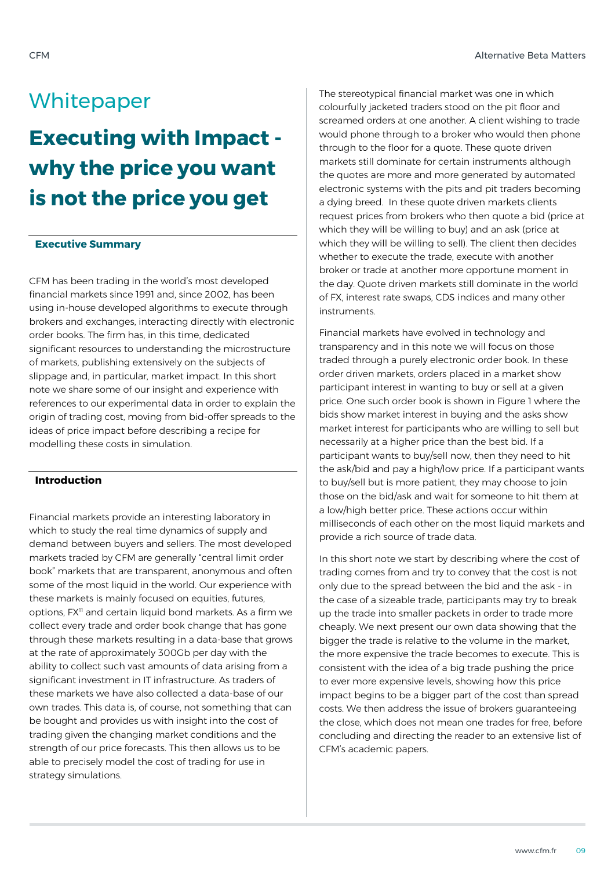### **Whitepaper**

# **Executing with Impact why the price you want is not the price you get**

### **Executive Summary**

CFM has been trading in the world's most developed financial markets since 1991 and, since 2002, has been using in-house developed algorithms to execute through brokers and exchanges, interacting directly with electronic order books. The firm has, in this time, dedicated significant resources to understanding the microstructure of markets, publishing extensively on the subjects of slippage and, in particular, market impact. In this short note we share some of our insight and experience with references to our experimental data in order to explain the origin of trading cost, moving from bid-offer spreads to the ideas of price impact before describing a recipe for modelling these costs in simulation.

### **Introduction**

Financial markets provide an interesting laboratory in which to study the real time dynamics of supply and demand between buyers and sellers. The most developed markets traded by CFM are generally "central limit order book" markets that are transparent, anonymous and often some of the most liquid in the world. Our experience with these markets is mainly focused on equities, futures, options, FX<sup>11</sup> and certain liquid bond markets. As a firm we collect every trade and order book change that has gone through these markets resulting in a data-base that grows at the rate of approximately 300Gb per day with the ability to collect such vast amounts of data arising from a significant investment in IT infrastructure. As traders of these markets we have also collected a data-base of our own trades. This data is, of course, not something that can be bought and provides us with insight into the cost of trading given the changing market conditions and the strength of our price forecasts. This then allows us to be able to precisely model the cost of trading for use in strategy simulations.

The stereotypical financial market was one in which colourfully jacketed traders stood on the pit floor and screamed orders at one another. A client wishing to trade would phone through to a broker who would then phone through to the floor for a quote. These quote driven markets still dominate for certain instruments although the quotes are more and more generated by automated electronic systems with the pits and pit traders becoming a dying breed. In these quote driven markets clients request prices from brokers who then quote a bid (price at which they will be willing to buy) and an ask (price at which they will be willing to sell). The client then decides whether to execute the trade, execute with another broker or trade at another more opportune moment in the day. Quote driven markets still dominate in the world of FX, interest rate swaps, CDS indices and many other instruments.

Financial markets have evolved in technology and transparency and in this note we will focus on those traded through a purely electronic order book. In these order driven markets, orders placed in a market show participant interest in wanting to buy or sell at a given price. One such order book is shown in Figure 1 where the bids show market interest in buying and the asks show market interest for participants who are willing to sell but necessarily at a higher price than the best bid. If a participant wants to buy/sell now, then they need to hit the ask/bid and pay a high/low price. If a participant wants to buy/sell but is more patient, they may choose to join those on the bid/ask and wait for someone to hit them at a low/high better price. These actions occur within milliseconds of each other on the most liquid markets and provide a rich source of trade data.

In this short note we start by describing where the cost of trading comes from and try to convey that the cost is not only due to the spread between the bid and the ask - in the case of a sizeable trade, participants may try to break up the trade into smaller packets in order to trade more cheaply. We next present our own data showing that the bigger the trade is relative to the volume in the market, the more expensive the trade becomes to execute. This is consistent with the idea of a big trade pushing the price to ever more expensive levels, showing how this price impact begins to be a bigger part of the cost than spread costs. We then address the issue of brokers guaranteeing the close, which does not mean one trades for free, before concluding and directing the reader to an extensive list of CFM's academic papers.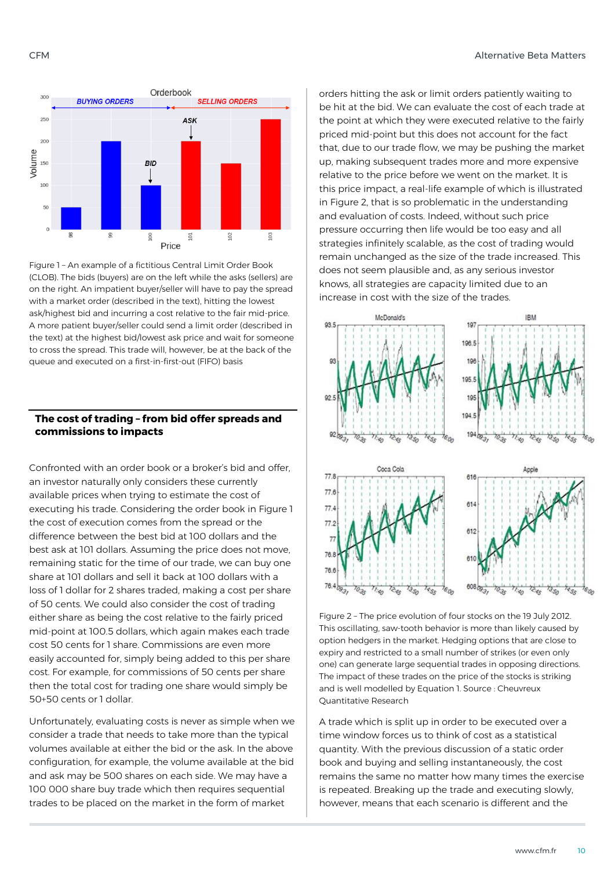

Figure 1 – An example of a fictitious Central Limit Order Book (CLOB). The bids (buyers) are on the left while the asks (sellers) are on the right. An impatient buyer/seller will have to pay the spread with a market order (described in the text), hitting the lowest ask/highest bid and incurring a cost relative to the fair mid-price. A more patient buyer/seller could send a limit order (described in the text) at the highest bid/lowest ask price and wait for someone to cross the spread. This trade will, however, be at the back of the queue and executed on a first-in-first-out (FIFO) basis

### **The cost of trading – from bid offer spreads and commissions to impacts**

Confronted with an order book or a broker's bid and offer an investor naturally only considers these currently available prices when trying to estimate the cost of executing his trade. Considering the order book in Figure 1 the cost of execution comes from the spread or the difference between the best bid at 100 dollars and the best ask at 101 dollars. Assuming the price does not move, remaining static for the time of our trade, we can buy one share at 101 dollars and sell it back at 100 dollars with a loss of 1 dollar for 2 shares traded, making a cost per share of 50 cents. We could also consider the cost of trading either share as being the cost relative to the fairly priced mid-point at 100.5 dollars, which again makes each trade cost 50 cents for 1 share. Commissions are even more easily accounted for, simply being added to this per share cost. For example, for commissions of 50 cents per share then the total cost for trading one share would simply be 50+50 cents or 1 dollar.

Unfortunately, evaluating costs is never as simple when we consider a trade that needs to take more than the typical volumes available at either the bid or the ask. In the above configuration, for example, the volume available at the bid and ask may be 500 shares on each side. We may have a 100 000 share buy trade which then requires sequential trades to be placed on the market in the form of market

orders hitting the ask or limit orders patiently waiting to be hit at the bid. We can evaluate the cost of each trade at the point at which they were executed relative to the fairly priced mid-point but this does not account for the fact that, due to our trade flow, we may be pushing the market up, making subsequent trades more and more expensive relative to the price before we went on the market. It is this price impact, a real-life example of which is illustrated in Figure 2, that is so problematic in the understanding and evaluation of costs. Indeed, without such price pressure occurring then life would be too easy and all strategies infinitely scalable, as the cost of trading would remain unchanged as the size of the trade increased. This does not seem plausible and, as any serious investor knows, all strategies are capacity limited due to an increase in cost with the size of the trades.



Figure 2 – The price evolution of four stocks on the 19 July 2012. This oscillating, saw-tooth behavior is more than likely caused by option hedgers in the market. Hedging options that are close to expiry and restricted to a small number of strikes (or even only one) can generate large sequential trades in opposing directions. The impact of these trades on the price of the stocks is striking and is well modelled by Equation 1. Source : Cheuvreux Quantitative Research

A trade which is split up in order to be executed over a time window forces us to think of cost as a statistical quantity. With the previous discussion of a static order book and buying and selling instantaneously, the cost remains the same no matter how many times the exercise is repeated. Breaking up the trade and executing slowly, however, means that each scenario is different and the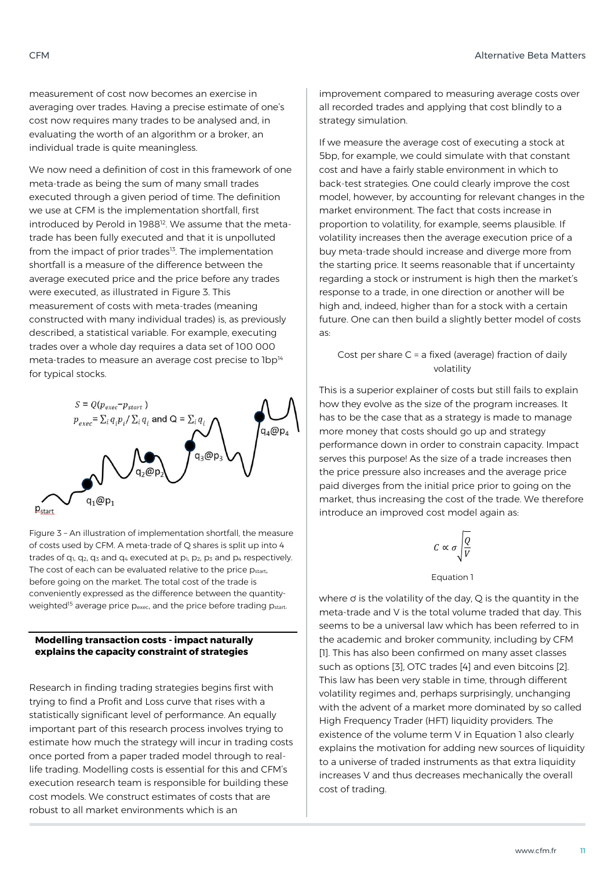measurement of cost now becomes an exercise in averaging over trades. Having a precise estimate of one's cost now requires many trades to be analysed and, in evaluating the worth of an algorithm or a broker, an individual trade is quite meaningless.

We now need a definition of cost in this framework of one meta-trade as being the sum of many small trades executed through a given period of time. The definition we use at CFM is the implementation shortfall, first introduced by Perold in 1988<sup>12</sup>. We assume that the metatrade has been fully executed and that it is unpolluted from the impact of prior trades $13$ . The implementation shortfall is a measure of the difference between the average executed price and the price before any trades were executed, as illustrated in Figure 3. This measurement of costs with meta-trades (meaning constructed with many individual trades) is, as previously described, a statistical variable. For example, executing trades over a whole day requires a data set of 100 000 meta-trades to measure an average cost precise to  $1bp^{14}$ for typical stocks.



Figure 3 – An illustration of implementation shortfall, the measure of costs used by CFM. A meta-trade of Q shares is split up into 4 trades of  $q_1$ ,  $q_2$ ,  $q_3$  and  $q_4$  executed at  $p_1$ ,  $p_2$ ,  $p_3$  and  $p_4$  respectively. The cost of each can be evaluated relative to the price p<sub>start</sub>, before going on the market. The total cost of the trade is conveniently expressed as the difference between the quantityweighted<sup>15</sup> average price p<sub>exec</sub>, and the price before trading p<sub>start</sub>.

### **Modelling transaction costs - impact naturally explains the capacity constraint of strategies**

Research in finding trading strategies begins first with trying to find a Profit and Loss curve that rises with a statistically significant level of performance. An equally important part of this research process involves trying to estimate how much the strategy will incur in trading costs once ported from a paper traded model through to reallife trading. Modelling costs is essential for this and CFM's execution research team is responsible for building these cost models. We construct estimates of costs that are robust to all market environments which is an

improvement compared to measuring average costs over all recorded trades and applying that cost blindly to a strategy simulation.

If we measure the average cost of executing a stock at 5bp, for example, we could simulate with that constant cost and have a fairly stable environment in which to back-test strategies. One could clearly improve the cost model, however, by accounting for relevant changes in the market environment. The fact that costs increase in proportion to volatility, for example, seems plausible. If volatility increases then the average execution price of a buy meta-trade should increase and diverge more from the starting price. It seems reasonable that if uncertainty regarding a stock or instrument is high then the market's response to a trade, in one direction or another will be high and, indeed, higher than for a stock with a certain future. One can then build a slightly better model of costs as:

### Cost per share C = a fixed (average) fraction of daily volatility

This is a superior explainer of costs but still fails to explain how they evolve as the size of the program increases. It has to be the case that as a strategy is made to manage more money that costs should go up and strategy performance down in order to constrain capacity. Impact serves this purpose! As the size of a trade increases then the price pressure also increases and the average price paid diverges from the initial price prior to going on the market, thus increasing the cost of the trade. We therefore introduce an improved cost model again as:

$$
\mathcal{C}\propto\sigma\sqrt{\frac{Q}{V}}
$$

### Equation 1

where  $\sigma$  is the volatility of the day, Q is the quantity in the meta-trade and V is the total volume traded that day. This seems to be a universal law which has been referred to in the academic and broker community, including by CFM [1]. This has also been confirmed on many asset classes such as options [3], OTC trades [4] and even bitcoins [2]. This law has been very stable in time, through different volatility regimes and, perhaps surprisingly, unchanging with the advent of a market more dominated by so called High Frequency Trader (HFT) liquidity providers. The existence of the volume term V in Equation 1 also clearly explains the motivation for adding new sources of liquidity to a universe of traded instruments as that extra liquidity increases V and thus decreases mechanically the overall cost of trading.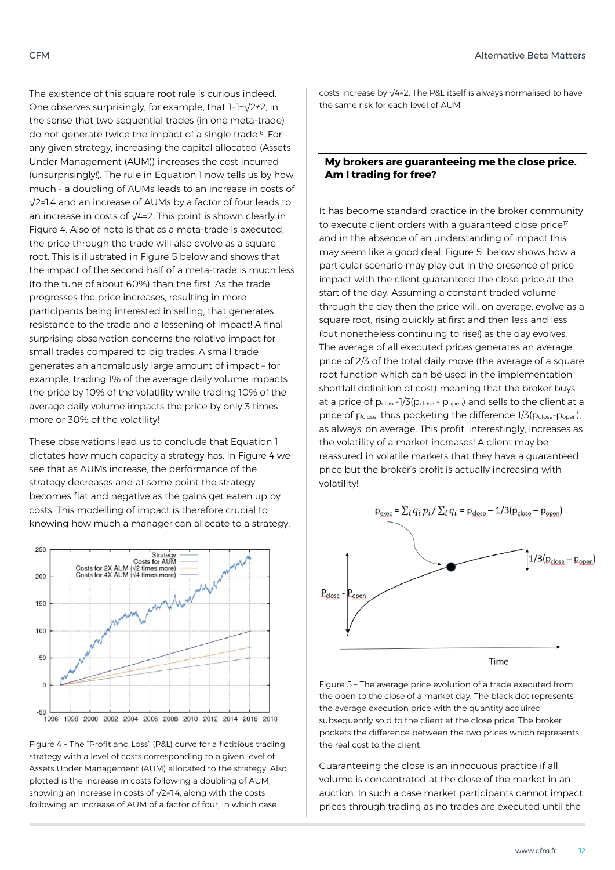The existence of this square root rule is curious indeed. One observes surprisingly, for example, that 1+1=√2≠2, in the sense that two sequential trades (in one meta-trade) do not generate twice the impact of a single trade<sup>16</sup>. For any given strategy, increasing the capital allocated (Assets Under Management (AUM)) increases the cost incurred (unsurprisingly!). The rule in Equation 1 now tells us by how much - a doubling of AUMs leads to an increase in costs of √2=1.4 and an increase of AUMs by a factor of four leads to an increase in costs of √4=2. This point is shown clearly in Figure 4. Also of note is that as a meta-trade is executed, the price through the trade will also evolve as a square root. This is illustrated in Figure 5 below and shows that the impact of the second half of a meta-trade is much less (to the tune of about 60%) than the first. As the trade progresses the price increases, resulting in more participants being interested in selling, that generates resistance to the trade and a lessening of impact! A final surprising observation concerns the relative impact for small trades compared to big trades. A small trade generates an anomalously large amount of impact – for example, trading 1% of the average daily volume impacts the price by 10% of the volatility while trading 10% of the average daily volume impacts the price by only 3 times more or 30% of the volatility!

These observations lead us to conclude that Equation 1 dictates how much capacity a strategy has. In Figure 4 we see that as AUMs increase, the performance of the strategy decreases and at some point the strategy becomes flat and negative as the gains get eaten up by costs. This modelling of impact is therefore crucial to knowing how much a manager can allocate to a strategy.



Figure 4 – The "Profit and Loss" (P&L) curve for a fictitious trading strategy with a level of costs corresponding to a given level of Assets Under Management (AUM) allocated to the strategy. Also plotted is the increase in costs following a doubling of AUM, showing an increase in costs of √2=1.4, along with the costs following an increase of AUM of a factor of four, in which case

costs increase by √4=2. The P&L itself is always normalised to have the same risk for each level of AUM

### **My brokers are guaranteeing me the close price. Am I trading for free?**

It has become standard practice in the broker community to execute client orders with a quaranteed close price<sup>17</sup> and in the absence of an understanding of impact this may seem like a good deal. Figure 5 below shows how a particular scenario may play out in the presence of price impact with the client guaranteed the close price at the start of the day. Assuming a constant traded volume through the day then the price will, on average, evolve as a square root, rising quickly at first and then less and less (but nonetheless continuing to rise!) as the day evolves. The average of all executed prices generates an average price of 2/3 of the total daily move (the average of a square root function which can be used in the implementation shortfall definition of cost) meaning that the broker buys at a price of pclose-1/3(pclose - popen) and sells to the client at a price of pclose, thus pocketing the difference 1/3(pclose-popen), as always, on average. This profit, interestingly, increases as the volatility of a market increases! A client may be reassured in volatile markets that they have a guaranteed price but the broker's profit is actually increasing with volatility!



Time

Figure 5 – The average price evolution of a trade executed from the open to the close of a market day. The black dot represents the average execution price with the quantity acquired subsequently sold to the client at the close price. The broker pockets the difference between the two prices which represents the real cost to the client

Guaranteeing the close is an innocuous practice if all volume is concentrated at the close of the market in an auction. In such a case market participants cannot impact prices through trading as no trades are executed until the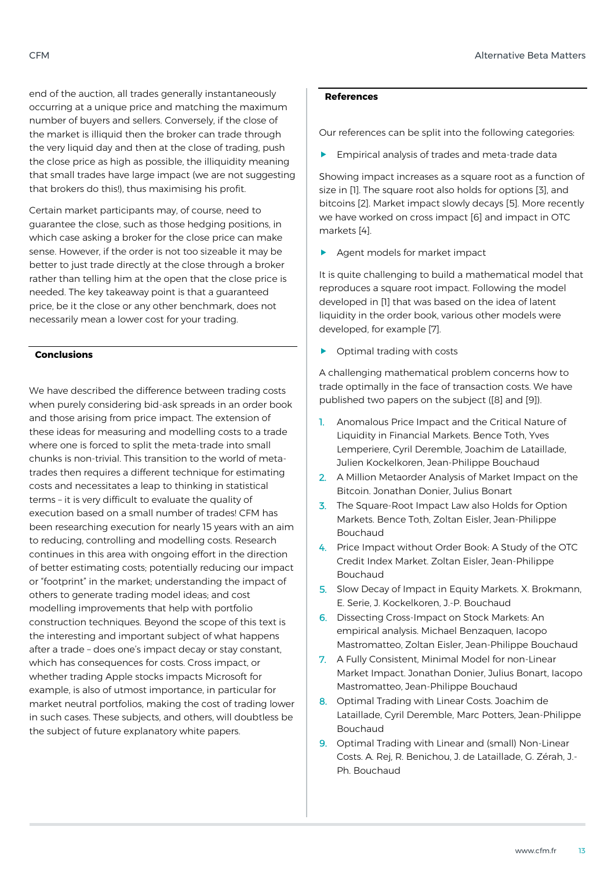end of the auction, all trades generally instantaneously occurring at a unique price and matching the maximum number of buyers and sellers. Conversely, if the close of the market is illiquid then the broker can trade through the very liquid day and then at the close of trading, push the close price as high as possible, the illiquidity meaning that small trades have large impact (we are not suggesting that brokers do this!), thus maximising his profit.

Certain market participants may, of course, need to guarantee the close, such as those hedging positions, in which case asking a broker for the close price can make sense. However, if the order is not too sizeable it may be better to just trade directly at the close through a broker rather than telling him at the open that the close price is needed. The key takeaway point is that a guaranteed price, be it the close or any other benchmark, does not necessarily mean a lower cost for your trading.

### **Conclusions**

We have described the difference between trading costs when purely considering bid-ask spreads in an order book and those arising from price impact. The extension of these ideas for measuring and modelling costs to a trade where one is forced to split the meta-trade into small chunks is non-trivial. This transition to the world of metatrades then requires a different technique for estimating costs and necessitates a leap to thinking in statistical terms – it is very difficult to evaluate the quality of execution based on a small number of trades! CFM has been researching execution for nearly 15 years with an aim to reducing, controlling and modelling costs. Research continues in this area with ongoing effort in the direction of better estimating costs; potentially reducing our impact or "footprint" in the market; understanding the impact of others to generate trading model ideas; and cost modelling improvements that help with portfolio construction techniques. Beyond the scope of this text is the interesting and important subject of what happens after a trade – does one's impact decay or stay constant, which has consequences for costs. Cross impact, or whether trading Apple stocks impacts Microsoft for example, is also of utmost importance, in particular for market neutral portfolios, making the cost of trading lower in such cases. These subjects, and others, will doubtless be the subject of future explanatory white papers.

### **References**

Our references can be split into the following categories:

**Empirical analysis of trades and meta-trade data** 

Showing impact increases as a square root as a function of size in [1]. The square root also holds for options [3], and bitcoins [2]. Market impact slowly decays [5]. More recently we have worked on cross impact [6] and impact in OTC markets [4].

Agent models for market impact

It is quite challenging to build a mathematical model that reproduces a square root impact. Following the model developed in [1] that was based on the idea of latent liquidity in the order book, various other models were developed, for example [7].

Optimal trading with costs

A challenging mathematical problem concerns how to trade optimally in the face of transaction costs. We have published two papers on the subject ([8] and [9]).

- 1. Anomalous Price Impact and the Critical Nature of Liquidity in Financial Markets. Bence Toth, Yves Lemperiere, Cyril Deremble, Joachim de Lataillade, Julien Kockelkoren, Jean-Philippe Bouchaud
- 2. A Million Metaorder Analysis of Market Impact on the Bitcoin. Jonathan Donier, Julius Bonart
- 3. The Square-Root Impact Law also Holds for Option Markets. Bence Toth, Zoltan Eisler, Jean-Philippe Bouchaud
- 4. Price Impact without Order Book: A Study of the OTC Credit Index Market. Zoltan Eisler, Jean-Philippe Bouchaud
- 5. Slow Decay of Impact in Equity Markets. X. Brokmann, E. Serie, J. Kockelkoren, J.-P. Bouchaud
- 6. Dissecting Cross-Impact on Stock Markets: An empirical analysis. Michael Benzaquen, Iacopo Mastromatteo, Zoltan Eisler, Jean-Philippe Bouchaud
- 7. A Fully Consistent, Minimal Model for non-Linear Market Impact. Jonathan Donier, Julius Bonart, Iacopo Mastromatteo, Jean-Philippe Bouchaud
- 8. Optimal Trading with Linear Costs. Joachim de Lataillade, Cyril Deremble, Marc Potters, Jean-Philippe Bouchaud
- 9. Optimal Trading with Linear and (small) Non-Linear Costs. A. Rej, R. Benichou, J. de Lataillade, G. Zérah, J.- Ph. Bouchaud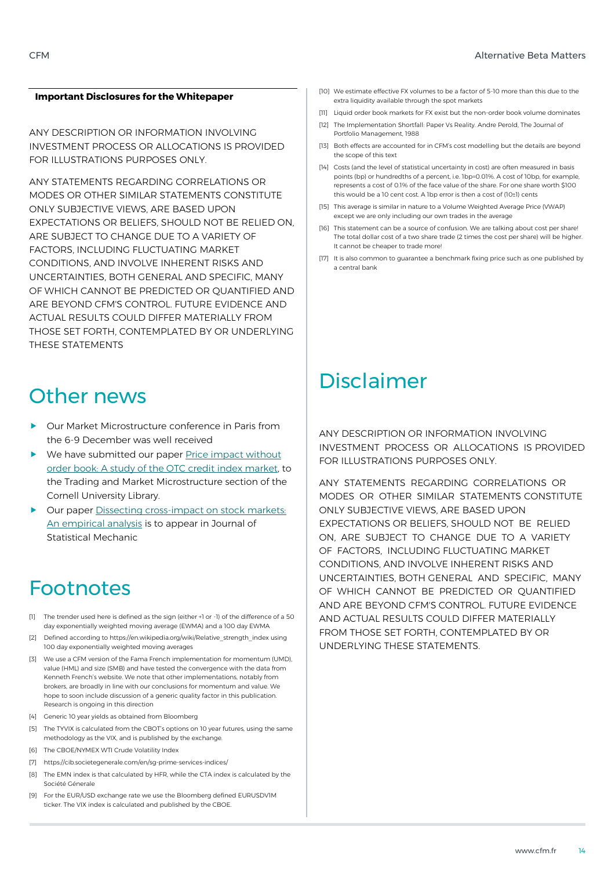### **Important Disclosures for the Whitepaper**

ANY DESCRIPTION OR INFORMATION INVOLVING INVESTMENT PROCESS OR ALLOCATIONS IS PROVIDED FOR ILLUSTRATIONS PURPOSES ONLY.

ANY STATEMENTS REGARDING CORRELATIONS OR MODES OR OTHER SIMILAR STATEMENTS CONSTITUTE ONLY SUBJECTIVE VIEWS, ARE BASED UPON EXPECTATIONS OR BELIEFS, SHOULD NOT BE RELIED ON, ARE SUBJECT TO CHANGE DUE TO A VARIETY OF FACTORS, INCLUDING FLUCTUATING MARKET CONDITIONS, AND INVOLVE INHERENT RISKS AND UNCERTAINTIES, BOTH GENERAL AND SPECIFIC, MANY OF WHICH CANNOT BE PREDICTED OR QUANTIFIED AND ARE BEYOND CFM'S CONTROL. FUTURE EVIDENCE AND ACTUAL RESULTS COULD DIFFER MATERIALLY FROM THOSE SET FORTH, CONTEMPLATED BY OR UNDERLYING THESE STATEMENTS

### Other news

- Our Market Microstructure conference in Paris from the 6-9 December was well received
- ▶ We have submitted our paper Price impact without [order book: A study of the OTC credit index market,](https://arxiv.org/abs/1609.04620) to the Trading and Market Microstructure section of the Cornell University Library.
- Our pape[r Dissecting cross-impact on stock markets:](https://arxiv.org/abs/1609.02395)  [An empirical analysis](https://arxiv.org/abs/1609.02395) is to appear in Journal of Statistical Mechanic

### Footnotes

- [1] The trender used here is defined as the sign (either +1 or -1) of the difference of a 50 day exponentially weighted moving average (EWMA) and a 100 day EWMA
- [2] Defined according to https://en.wikipedia.org/wiki/Relative\_strength\_index using 100 day exponentially weighted moving averages
- [3] We use a CFM version of the Fama French implementation for momentum (UMD). value (HML) and size (SMB) and have tested the convergence with the data from Kenneth French's website. We note that other implementations, notably from brokers, are broadly in line with our conclusions for momentum and value. We hope to soon include discussion of a generic quality factor in this publication. Research is ongoing in this direction
- [4] Generic 10 year yields as obtained from Bloomberg
- [5] The TYVIX is calculated from the CBOT's options on 10 year futures, using the same methodology as the VIX, and is published by the exchange.
- [6] The CBOE/NYMEX WTI Crude Volatility Index
- [7] https://cib.societegenerale.com/en/sg-prime-services-indices/
- [8] The EMN index is that calculated by HFR, while the CTA index is calculated by the Société Génerale
- [9] For the EUR/USD exchange rate we use the Bloomberg defined EURUSDV1M ticker. The VIX index is calculated and published by the CBOE.
- [10] We estimate effective FX volumes to be a factor of 5-10 more than this due to the extra liquidity available through the spot markets
- [11] Liquid order book markets for FX exist but the non-order book volume dominates
- [12] The Implementation Shortfall: Paper Vs Reality. Andre Perold, The Journal of Portfolio Management, 1988
- [13] Both effects are accounted for in CFM's cost modelling but the details are beyond the scope of this text
- [14] Costs (and the level of statistical uncertainty in cost) are often measured in basis points (bp) or hundredths of a percent, i.e. 1bp=0.01%. A cost of 10bp, for example, represents a cost of 0.1% of the face value of the share. For one share worth \$100 this would be a 10 cent cost. A 1bp error is then a cost of (10±1) cents
- [15] This average is similar in nature to a Volume Weighted Average Price (VWAP) except we are only including our own trades in the average
- [16] This statement can be a source of confusion. We are talking about cost per share! The total dollar cost of a two share trade (2 times the cost per share) will be higher. It cannot be cheaper to trade more!
- [17] It is also common to guarantee a benchmark fixing price such as one published by a central bank

### Disclaimer

ANY DESCRIPTION OR INFORMATION INVOLVING INVESTMENT PROCESS OR ALLOCATIONS IS PROVIDED FOR ILLUSTRATIONS PURPOSES ONLY.

ANY STATEMENTS REGARDING CORRELATIONS OR MODES OR OTHER SIMILAR STATEMENTS CONSTITUTE ONLY SUBJECTIVE VIEWS, ARE BASED UPON EXPECTATIONS OR BELIEFS, SHOULD NOT BE RELIED ON, ARE SUBJECT TO CHANGE DUE TO A VARIETY OF FACTORS, INCLUDING FLUCTUATING MARKET CONDITIONS, AND INVOLVE INHERENT RISKS AND UNCERTAINTIES, BOTH GENERAL AND SPECIFIC, MANY OF WHICH CANNOT BE PREDICTED OR QUANTIFIED AND ARE BEYOND CFM'S CONTROL. FUTURE EVIDENCE AND ACTUAL RESULTS COULD DIFFER MATERIALLY FROM THOSE SET FORTH, CONTEMPLATED BY OR UNDERLYING THESE STATEMENTS.